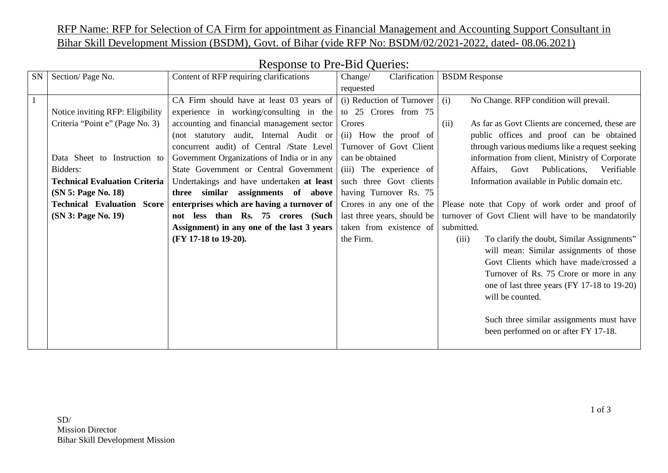RFP Name: RFP for Selection of CA Firm for appointment as Financial Management and Accounting Support Consultant in Bihar Skill Development Mission (BSDM), Govt. of Bihar (vide RFP No: BSDM/02/2021-2022, dated- 08.06.2021)

| SN             | Section/Page No.                     | Content of RFP requiring clarifications     | Clarification<br>Change/    | <b>BSDM</b> Response                                    |
|----------------|--------------------------------------|---------------------------------------------|-----------------------------|---------------------------------------------------------|
|                |                                      |                                             | requested                   |                                                         |
| $\overline{1}$ |                                      | CA Firm should have at least 03 years of    | (i) Reduction of Turnover   | No Change. RFP condition will prevail.<br>(i)           |
|                | Notice inviting RFP: Eligibility     | experience in working/consulting in the     | to 25 Crores from 75        |                                                         |
|                | Criteria "Point e" (Page No. 3)      | accounting and financial management sector  | Crores                      | As far as Govt Clients are concerned, these are<br>(ii) |
|                |                                      | (not statutory audit, Internal Audit or     | (ii) How the proof of       | public offices and proof can be obtained                |
|                |                                      | concurrent audit) of Central /State Level   | Turnover of Govt Client     | through various mediums like a request seeking          |
|                | Data Sheet to Instruction to         | Government Organizations of India or in any | can be obtained             | information from client, Ministry of Corporate          |
|                | Bidders:                             | State Government or Central Government      | (iii) The experience of     | Publications,<br>Verifiable<br>Affairs,<br>Govt         |
|                | <b>Technical Evaluation Criteria</b> | Undertakings and have undertaken at least   | such three Govt clients     | Information available in Public domain etc.             |
|                | (SN 5: Page No. 18)                  | three similar assignments of above          | having Turnover Rs. 75      |                                                         |
|                | <b>Technical Evaluation Score</b>    | enterprises which are having a turnover of  | Crores in any one of the    | Please note that Copy of work order and proof of        |
|                | (SN 3: Page No. 19)                  | not less than Rs. 75 crores (Such           | last three years, should be | turnover of Govt Client will have to be mandatorily     |
|                |                                      | Assignment) in any one of the last 3 years  | taken from existence of     | submitted.                                              |
|                |                                      | (FY 17-18 to 19-20).                        | the Firm.                   | To clarify the doubt, Similar Assignments"<br>(iii)     |
|                |                                      |                                             |                             | will mean: Similar assignments of those                 |
|                |                                      |                                             |                             | Govt Clients which have made/crossed a                  |
|                |                                      |                                             |                             | Turnover of Rs. 75 Crore or more in any                 |
|                |                                      |                                             |                             | one of last three years (FY 17-18 to 19-20)             |
|                |                                      |                                             |                             | will be counted.                                        |
|                |                                      |                                             |                             |                                                         |
|                |                                      |                                             |                             | Such three similar assignments must have                |
|                |                                      |                                             |                             | been performed on or after FY 17-18.                    |
|                |                                      |                                             |                             |                                                         |

## Response to Pre-Bid Queries: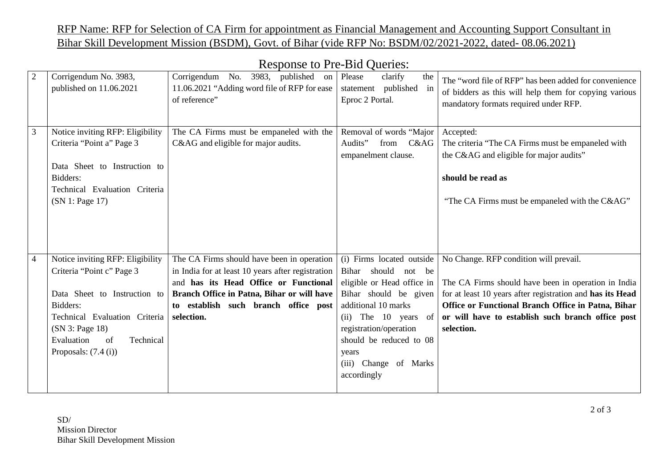## RFP Name: RFP for Selection of CA Firm for appointment as Financial Management and Accounting Support Consultant in Bihar Skill Development Mission (BSDM), Govt. of Bihar (vide RFP No: BSDM/02/2021-2022, dated- 08.06.2021)

|                |                                                  | $1.68$ points to $110$ DIG $\sqrt{3}$ action.                                                              |                                                             |                                                                                                                                                         |
|----------------|--------------------------------------------------|------------------------------------------------------------------------------------------------------------|-------------------------------------------------------------|---------------------------------------------------------------------------------------------------------------------------------------------------------|
| $\overline{2}$ | Corrigendum No. 3983,<br>published on 11.06.2021 | Corrigendum No. 3983, published on Please<br>11.06.2021 "Adding word file of RFP for ease<br>of reference" | clarify<br>the<br>statement published in<br>Eproc 2 Portal. | The "word file of RFP" has been added for convenience<br>of bidders as this will help them for copying various<br>mandatory formats required under RFP. |
| 3              | Notice inviting RFP: Eligibility                 | The CA Firms must be empaneled with the                                                                    | Removal of words "Major                                     | Accepted:                                                                                                                                               |
|                | Criteria "Point a" Page 3                        | C&AG and eligible for major audits.                                                                        | Audits" from C&AG                                           | The criteria "The CA Firms must be empaneled with                                                                                                       |
|                |                                                  |                                                                                                            | empanelment clause.                                         | the C&AG and eligible for major audits"                                                                                                                 |
|                | Data Sheet to Instruction to                     |                                                                                                            |                                                             |                                                                                                                                                         |
|                | Bidders:                                         |                                                                                                            |                                                             | should be read as                                                                                                                                       |
|                | Technical Evaluation Criteria                    |                                                                                                            |                                                             |                                                                                                                                                         |
|                | (SN 1: Page 17)                                  |                                                                                                            |                                                             | "The CA Firms must be empaneled with the C&AG"                                                                                                          |
|                |                                                  |                                                                                                            |                                                             |                                                                                                                                                         |
|                |                                                  |                                                                                                            |                                                             |                                                                                                                                                         |
|                |                                                  |                                                                                                            |                                                             |                                                                                                                                                         |
|                |                                                  |                                                                                                            |                                                             |                                                                                                                                                         |
| $\overline{4}$ | Notice inviting RFP: Eligibility                 | The CA Firms should have been in operation                                                                 | (i) Firms located outside                                   | No Change. RFP condition will prevail.                                                                                                                  |
|                | Criteria "Point c" Page 3                        | in India for at least 10 years after registration                                                          | Bihar should not be                                         |                                                                                                                                                         |
|                |                                                  | and has its Head Office or Functional                                                                      | eligible or Head office in                                  | The CA Firms should have been in operation in India                                                                                                     |
|                | Data Sheet to Instruction to                     | Branch Office in Patna, Bihar or will have                                                                 | Bihar should be given                                       | for at least 10 years after registration and has its Head                                                                                               |
|                | Bidders:                                         | to establish such branch office post                                                                       | additional 10 marks                                         | Office or Functional Branch Office in Patna, Bihar                                                                                                      |
|                | Technical Evaluation Criteria                    | selection.                                                                                                 | (ii) The 10 years of                                        | or will have to establish such branch office post                                                                                                       |
|                | (SN 3: Page 18)                                  |                                                                                                            | registration/operation                                      | selection.                                                                                                                                              |
|                | Evaluation<br>Technical<br>of                    |                                                                                                            | should be reduced to 08                                     |                                                                                                                                                         |
|                | Proposals: $(7.4(i))$                            |                                                                                                            | years                                                       |                                                                                                                                                         |
|                |                                                  |                                                                                                            | (iii) Change of Marks                                       |                                                                                                                                                         |
|                |                                                  |                                                                                                            | accordingly                                                 |                                                                                                                                                         |
|                |                                                  |                                                                                                            |                                                             |                                                                                                                                                         |

## Response to Pre-Bid Queries: